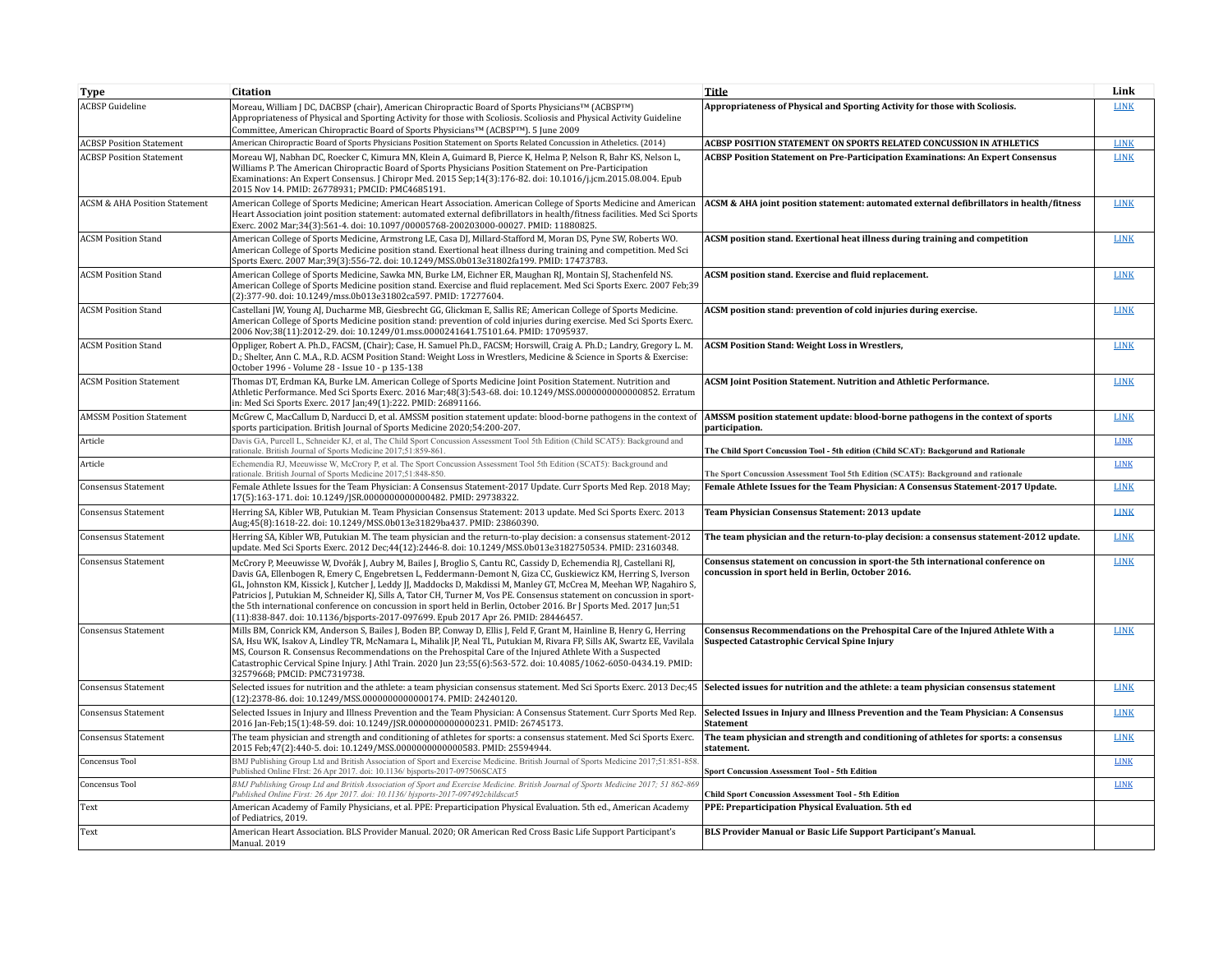| Type                                     | <b>Citation</b>                                                                                                                                                                                                                                                                                                                                                                                                                                                                                                                                                                                                                                                                                      | <b>Title</b>                                                                                                                           | Link        |
|------------------------------------------|------------------------------------------------------------------------------------------------------------------------------------------------------------------------------------------------------------------------------------------------------------------------------------------------------------------------------------------------------------------------------------------------------------------------------------------------------------------------------------------------------------------------------------------------------------------------------------------------------------------------------------------------------------------------------------------------------|----------------------------------------------------------------------------------------------------------------------------------------|-------------|
| <b>ACBSP</b> Guideline                   | Moreau, William J DC, DACBSP (chair), American Chiropractic Board of Sports Physicians <sup>TM</sup> (ACBSP <sup>TM</sup> )<br>Appropriateness of Physical and Sporting Activity for those with Scoliosis. Scoliosis and Physical Activity Guideline<br>Committee, American Chiropractic Board of Sports Physicians <sup>TM</sup> (ACBSPTM). 5 June 2009                                                                                                                                                                                                                                                                                                                                             | Appropriateness of Physical and Sporting Activity for those with Scoliosis.                                                            | <b>LINK</b> |
| <b>ACBSP Position Statement</b>          | American Chiropractic Board of Sports Physicians Position Statement on Sports Related Concussion in Atheletics. (2014)                                                                                                                                                                                                                                                                                                                                                                                                                                                                                                                                                                               | ACBSP POSITION STATEMENT ON SPORTS RELATED CONCUSSION IN ATHLETICS                                                                     | <b>LINK</b> |
| <b>ACBSP Position Statement</b>          | Moreau WJ, Nabhan DC, Roecker C, Kimura MN, Klein A, Guimard B, Pierce K, Helma P, Nelson R, Bahr KS, Nelson L,<br>Williams P. The American Chiropractic Board of Sports Physicians Position Statement on Pre-Participation<br>Examinations: An Expert Consensus. [Chiropr Med. 2015 Sep;14(3):176-82. doi: 10.1016/j.jcm.2015.08.004. Epub<br>2015 Nov 14. PMID: 26778931; PMCID: PMC4685191.                                                                                                                                                                                                                                                                                                       | ACBSP Position Statement on Pre-Participation Examinations: An Expert Consensus                                                        | <b>LINK</b> |
| <b>ACSM &amp; AHA Position Statement</b> | American College of Sports Medicine; American Heart Association. American College of Sports Medicine and American<br>Heart Association joint position statement: automated external defibrillators in health/fitness facilities. Med Sci Sports<br>Exerc. 2002 Mar;34(3):561-4. doi: 10.1097/00005768-200203000-00027. PMID: 11880825.                                                                                                                                                                                                                                                                                                                                                               | ACSM & AHA joint position statement: automated external defibrillators in health/fitness                                               | <b>LINK</b> |
| <b>ACSM Position Stand</b>               | American College of Sports Medicine, Armstrong LE, Casa DJ, Millard-Stafford M, Moran DS, Pyne SW, Roberts WO,<br>American College of Sports Medicine position stand, Exertional heat illness during training and competition. Med Sci<br>Sports Exerc. 2007 Mar; 39(3): 556-72. doi: 10.1249/MSS.0b013e31802fa199. PMID: 17473783.                                                                                                                                                                                                                                                                                                                                                                  | ACSM position stand. Exertional heat illness during training and competition                                                           | <b>LINK</b> |
| <b>ACSM Position Stand</b>               | American College of Sports Medicine, Sawka MN, Burke LM, Eichner ER, Maughan RJ, Montain SJ, Stachenfeld NS.<br>American College of Sports Medicine position stand. Exercise and fluid replacement. Med Sci Sports Exerc. 2007 Feb;39<br>(2):377-90. doi: 10.1249/mss.0b013e31802ca597. PMID: 17277604.                                                                                                                                                                                                                                                                                                                                                                                              | ACSM position stand. Exercise and fluid replacement.                                                                                   | <b>LINK</b> |
| <b>ACSM Position Stand</b>               | Castellani JW, Young AJ, Ducharme MB, Giesbrecht GG, Glickman E, Sallis RE; American College of Sports Medicine.<br>American College of Sports Medicine position stand: prevention of cold injuries during exercise. Med Sci Sports Exerc.<br>2006 Nov;38(11):2012-29. doi: 10.1249/01.mss.0000241641.75101.64. PMID: 17095937.                                                                                                                                                                                                                                                                                                                                                                      | ACSM position stand: prevention of cold injuries during exercise.                                                                      | <b>LINK</b> |
| <b>ACSM Position Stand</b>               | Oppliger, Robert A. Ph.D., FACSM, (Chair); Case, H. Samuel Ph.D., FACSM; Horswill, Craig A. Ph.D.; Landry, Gregory L. M.<br>D.; Shelter, Ann C. M.A., R.D. ACSM Position Stand: Weight Loss in Wrestlers, Medicine & Science in Sports & Exercise:<br>October 1996 - Volume 28 - Issue 10 - p 135-138                                                                                                                                                                                                                                                                                                                                                                                                | <b>ACSM Position Stand: Weight Loss in Wrestlers,</b>                                                                                  | <b>LINK</b> |
| <b>ACSM Position Statement</b>           | Thomas DT, Erdman KA, Burke LM. American College of Sports Medicine Joint Position Statement. Nutrition and<br>Athletic Performance. Med Sci Sports Exerc. 2016 Mar:48(3):543-68. doi: 10.1249/MSS.0000000000000852. Erratum<br>in: Med Sci Sports Exerc. 2017 Jan;49(1):222. PMID: 26891166.                                                                                                                                                                                                                                                                                                                                                                                                        | <b>ACSM Joint Position Statement. Nutrition and Athletic Performance.</b>                                                              | <b>LINK</b> |
| <b>AMSSM Position Statement</b>          | McGrew C, MacCallum D, Narducci D, et al. AMSSM position statement update: blood-borne pathogens in the context of<br>sports participation. British Journal of Sports Medicine 2020;54:200-207.                                                                                                                                                                                                                                                                                                                                                                                                                                                                                                      | AMSSM position statement update: blood-borne pathogens in the context of sports<br>participation.                                      | <b>LINK</b> |
| Article                                  | Davis GA, Purcell L, Schneider KJ, et al, The Child Sport Concussion Assessment Tool 5th Edition (Child SCAT5): Background and<br>rationale. British Journal of Sports Medicine 2017;51:859-861                                                                                                                                                                                                                                                                                                                                                                                                                                                                                                      | The Child Sport Concussion Tool - 5th edition (Child SCAT): Backgorund and Rationale                                                   | <b>LINK</b> |
| Article                                  | Echemendia RJ, Meeuwisse W, McCrory P, et al. The Sport Concussion Assessment Tool 5th Edition (SCAT5): Background and<br>rationale. British Journal of Sports Medicine 2017;51:848-850.                                                                                                                                                                                                                                                                                                                                                                                                                                                                                                             | The Sport Concussion Assessment Tool 5th Edition (SCAT5): Background and rationale                                                     | <b>LINK</b> |
| <b>Consensus Statement</b>               | Female Athlete Issues for the Team Physician: A Consensus Statement-2017 Update. Curr Sports Med Rep. 2018 May;<br>17(5):163-171. doi: 10.1249/JSR.0000000000000482. PMID: 29738322.                                                                                                                                                                                                                                                                                                                                                                                                                                                                                                                 | Female Athlete Issues for the Team Physician: A Consensus Statement-2017 Update.                                                       | <b>LINK</b> |
| <b>Consensus Statement</b>               | Herring SA, Kibler WB, Putukian M, Team Physician Consensus Statement: 2013 update, Med Sci Sports Exerc, 2013<br>Aug;45(8):1618-22. doi: 10.1249/MSS.0b013e31829ba437. PMID: 23860390.                                                                                                                                                                                                                                                                                                                                                                                                                                                                                                              | Team Physician Consensus Statement: 2013 update                                                                                        | <b>LINK</b> |
| Consensus Statement                      | Herring SA, Kibler WB, Putukian M. The team physician and the return-to-play decision: a consensus statement-2012<br>update. Med Sci Sports Exerc. 2012 Dec;44(12):2446-8. doi: 10.1249/MSS.0b013e3182750534. PMID: 23160348.                                                                                                                                                                                                                                                                                                                                                                                                                                                                        | The team physician and the return-to-play decision: a consensus statement-2012 update.                                                 | <b>LINK</b> |
| <b>Consensus Statement</b>               | McCrory P, Meeuwisse W, Dvořák J, Aubry M, Bailes J, Broglio S, Cantu RC, Cassidy D, Echemendia RJ, Castellani RJ,<br>Davis GA, Ellenbogen R, Emery C, Engebretsen L, Feddermann-Demont N, Giza CC, Guskiewicz KM, Herring S, Iverson<br>GL, Johnston KM, Kissick J, Kutcher J, Leddy JJ, Maddocks D, Makdissi M, Manley GT, McCrea M, Meehan WP, Nagahiro S,<br>Patricios J, Putukian M, Schneider KJ, Sills A, Tator CH, Turner M, Vos PE. Consensus statement on concussion in sport-<br>the 5th international conference on concussion in sport held in Berlin, October 2016. Br J Sports Med. 2017 Jun;51<br>(11):838-847. doi: 10.1136/bisports-2017-097699. Epub 2017 Apr 26. PMID: 28446457. | Consensus statement on concussion in sport-the 5th international conference on<br>concussion in sport held in Berlin, October 2016.    | <b>LINK</b> |
| Consensus Statement                      | Mills BM, Conrick KM, Anderson S, Bailes J, Boden BP, Conway D, Ellis J, Feld F, Grant M, Hainline B, Henry G, Herring<br>SA, Hsu WK, Isakov A, Lindley TR, McNamara L, Mihalik JP, Neal TL, Putukian M, Rivara FP, Sills AK, Swartz EE, Vavilala<br>MS, Courson R, Consensus Recommendations on the Prehospital Care of the Injured Athlete With a Suspected<br>Catastrophic Cervical Spine Injury. J Athl Train. 2020 Jun 23;55(6):563-572. doi: 10.4085/1062-6050-0434.19. PMID:<br>32579668: PMCID: PMC7319738.                                                                                                                                                                                  | Consensus Recommendations on the Prehospital Care of the Injured Athlete With a<br><b>Suspected Catastrophic Cervical Spine Injury</b> | <b>LINK</b> |
| Consensus Statement                      | Selected issues for nutrition and the athlete: a team physician consensus statement. Med Sci Sports Exerc. 2013 Dec;45<br>(12):2378-86. doi: 10.1249/MSS.0000000000000174. PMID: 24240120.                                                                                                                                                                                                                                                                                                                                                                                                                                                                                                           | Selected issues for nutrition and the athlete: a team physician consensus statement                                                    | <b>LINK</b> |
| <b>Consensus Statement</b>               | Selected Issues in Injury and Illness Prevention and the Team Physician: A Consensus Statement. Curr Sports Med Rep.<br>2016 Jan-Feb; 15(1): 48-59. doi: 10.1249/JSR.0000000000000231. PMID: 26745173.                                                                                                                                                                                                                                                                                                                                                                                                                                                                                               | Selected Issues in Injury and Illness Prevention and the Team Physician: A Consensus<br><b>Statement</b>                               | <b>LINK</b> |
| <b>Consensus Statement</b>               | The team physician and strength and conditioning of athletes for sports: a consensus statement. Med Sci Sports Exerc.<br>2015 Feb:47(2):440-5, doi: 10.1249/MSS.000000000000583, PMID: 25594944.                                                                                                                                                                                                                                                                                                                                                                                                                                                                                                     | The team physician and strength and conditioning of athletes for sports: a consensus<br>statement.                                     | <b>LINK</b> |
| Concensus Tool                           | BMJ Publishing Group Ltd and British Association of Sport and Exercise Medicine. British Journal of Sports Medicine 2017;51:851-858<br>Published Online FIrst: 26 Apr 2017. doi: 10.1136/ bisports-2017-097506SCAT5                                                                                                                                                                                                                                                                                                                                                                                                                                                                                  | <b>Sport Concussion Assessment Tool - 5th Edition</b>                                                                                  | <b>LINK</b> |
| Concensus Tool                           | BMJ Publishing Group Ltd and British Association of Sport and Exercise Medicine. British Journal of Sports Medicine 2017; 51 862-869<br>Published Online First: 26 Apr 2017. doi: 10.1136/bisports-2017-097492childscat5                                                                                                                                                                                                                                                                                                                                                                                                                                                                             | <b>Child Sport Concussion Assessment Tool - 5th Edition</b>                                                                            | <b>LINK</b> |
| Text                                     | American Academy of Family Physicians, et al. PPE: Preparticipation Physical Evaluation. 5th ed., American Academy<br>of Pediatrics, 2019.                                                                                                                                                                                                                                                                                                                                                                                                                                                                                                                                                           | PPE: Preparticipation Physical Evaluation. 5th ed                                                                                      |             |
| Text                                     | American Heart Association. BLS Provider Manual. 2020; OR American Red Cross Basic Life Support Participant's<br>Manual. 2019                                                                                                                                                                                                                                                                                                                                                                                                                                                                                                                                                                        | BLS Provider Manual or Basic Life Support Participant's Manual.                                                                        |             |
|                                          |                                                                                                                                                                                                                                                                                                                                                                                                                                                                                                                                                                                                                                                                                                      |                                                                                                                                        |             |